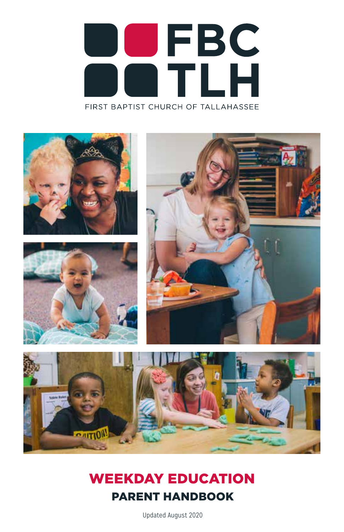# **UFBC**<br>TLH FIRST BAPTIST CHURCH OF TALLAHASSEE



## WEEKDAY EDUCATION PARENT HANDBOOK

Updated August 2020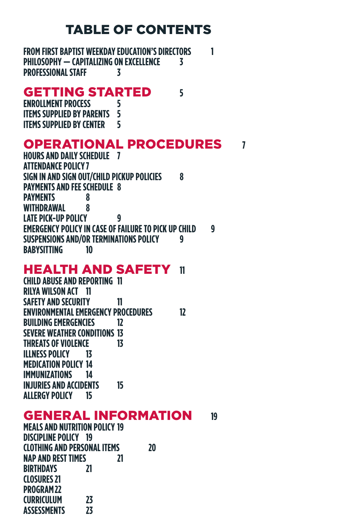## TABLE OF CONTENTS

**FROM FIRST BAPTIST WEEKDAY EDUCATION'S DIRECTORS 1 PHILOSOPHY — CAPITALIZING ON EXCELLENCE 3 PROFESSIONAL STAFF 3**

#### GETTING STARTED **5**

**ENROLLMENT PROCESS 5 ITEMS SUPPLIED BY PARENTS ITEMS SUPPLIED BY CENTER 5**

#### OPERATIONAL PROCEDURES **7**

**HOURS AND DAILY SCHEDULE 7 ATTENDANCE POLICY7 SIGN IN AND SIGN OUT/CHILD PICKUP POLICIES 8 PAYMENTS AND FEE SCHEDULE 8 PAYMENTS 8 WITHDRAWAL 8 LATE PICK-UP POLICY 9 EMERGENCY POLICY IN CASE OF FAILURE TO PICK UP CHILD 9 SUSPENSIONS AND/OR TERMINATIONS POLICY 9 BABYSITTING 10**

#### HEALTH AND SAFETY **11**

**CHILD ABUSE AND REPORTING 11 RILYA WILSON ACT 11 SAFETY AND SECURITY 11 ENVIRONMENTAL EMERGENCY PROCEDURES 12 BUILDING EMERGENCIES 12 SEVERE WEATHER CONDITIONS 13 THREATS OF VIOLENCE 13 ILLNESS POLICY 13 MEDICATION POLICY 14 IMMUNIZATIONS 14 INJURIES AND ACCIDENTS 15 ALLERGY POLICY 15**

#### GENERAL INFORMATION **19**

**MEALS AND NUTRITION POLICY 19 DISCIPLINE POLICY 19 CLOTHING AND PERSONAL ITEMS 20 NAP AND REST TIMES 21 BIRTHDAYS 21 CLOSURES21 PROGRAM22 CURRICULUM 23 ASSESSMENTS 23**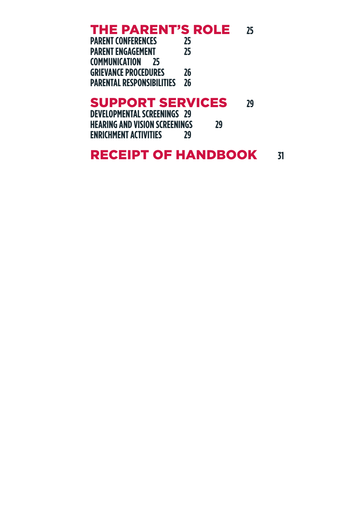## **THE PARENT'S ROLE** 25<br>PARENT CONFERENCES 25

**PARENT CONFERENCES 25 PARENT ENGAGEMENT 25 COMMUNICATION 25 GRIEVANCE PROCEDURES 26 PARENTAL RESPONSIBILITIES 26**

#### SUPPORT SERVICES **29**

**DEVELOPMENTAL SCREENINGS 29 HEARING AND VISION SCREENINGS 29 ENRICHMENT ACTIVITIES 29**

#### **RECEIPT OF HANDBOOK 31**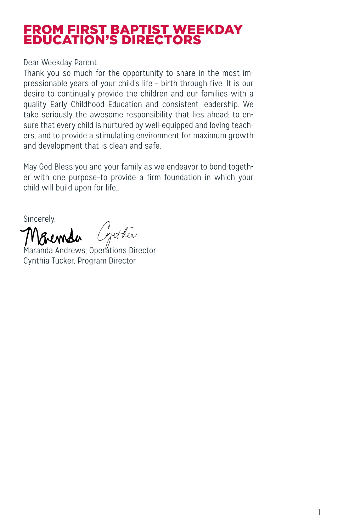#### FROM FIRST BAPTIST WEEKDAY EDUCATION'S DIRECTORS

Dear Weekday Parent:

Thank you so much for the opportunity to share in the most impressionable years of your child's life – birth through five. It is our desire to continually provide the children and our families with a quality Early Childhood Education and consistent leadership. We take seriously the awesome responsibility that lies ahead: to ensure that every child is nurtured by well-equipped and loving teachers, and to provide a stimulating environment for maximum growth and development that is clean and safe.

May God Bless you and your family as we endeavor to bond together with one purpose–to provide a firm foundation in which your child will build upon for life…

Sincerely,

whea

Maranda Andrews, Operations Director Cynthia Tucker, Program Director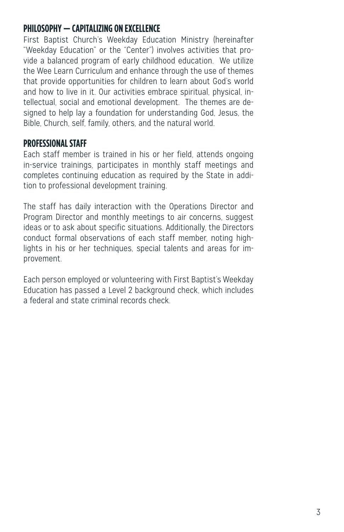#### **PHILOSOPHY — CAPITALIZING ON EXCELLENCE**

First Baptist Church's Weekday Education Ministry (hereinafter "Weekday Education" or the "Center") involves activities that provide a balanced program of early childhood education. We utilize the Wee Learn Curriculum and enhance through the use of themes that provide opportunities for children to learn about God's world and how to live in it. Our activities embrace spiritual, physical, intellectual, social and emotional development. The themes are designed to help lay a foundation for understanding God, Jesus, the Bible, Church, self, family, others, and the natural world.

#### **PROFESSIONAL STAFF**

Each staff member is trained in his or her field, attends ongoing in-service trainings, participates in monthly staff meetings and completes continuing education as required by the State in addition to professional development training.

The staff has daily interaction with the Operations Director and Program Director and monthly meetings to air concerns, suggest ideas or to ask about specific situations. Additionally, the Directors conduct formal observations of each staff member, noting highlights in his or her techniques, special talents and areas for improvement.

Each person employed or volunteering with First Baptist's Weekday Education has passed a Level 2 background check, which includes a federal and state criminal records check.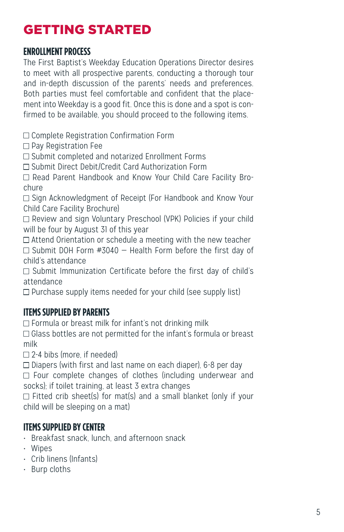## GETTING STARTED

#### **ENROLLMENT PROCESS**

The First Baptist's Weekday Education Operations Director desires to meet with all prospective parents, conducting a thorough tour and in-depth discussion of the parents' needs and preferences. Both parties must feel comfortable and confident that the placement into Weekday is a good fit. Once this is done and a spot is confirmed to be available, you should proceed to the following items.

□ Complete Registration Confirmation Form

□ Pay Registration Fee

□ Submit completed and notarized Enrollment Forms

Submit Direct Debit/Credit Card Authorization Form

□ Read Parent Handbook and Know Your Child Care Facility Brochure

□ Sign Acknowledgment of Receipt (For Handbook and Know Your Child Care Facility Brochure)

□ Review and sign Voluntary Preschool (VPK) Policies if your child will be four by August 31 of this year

 $\Box$  Attend Orientation or schedule a meeting with the new teacher  $\Box$  Submit DOH Form #3040 – Health Form before the first day of child's attendance

 $\Box$  Submit Immunization Certificate before the first day of child's attendance

 $\Box$  Purchase supply items needed for your child (see supply list)

#### **ITEMS SUPPLIED BY PARENTS**

 $\Box$  Formula or breast milk for infant's not drinking milk

 Glass bottles are not permitted for the infant's formula or breast milk

 $\square$  2-4 bibs (more, if needed)

 $\Box$  Diapers (with first and last name on each diaper), 6-8 per day  $\Box$  Four complete changes of clothes (including underwear and

socks); if toilet training, at least 3 extra changes

 $\Box$  Fitted crib sheet(s) for mat(s) and a small blanket (only if your child will be sleeping on a mat)

#### **ITEMS SUPPLIED BY CENTER**

- Breakfast snack, lunch, and afternoon snack
- Wipes
- Crib linens (Infants)
- Burp cloths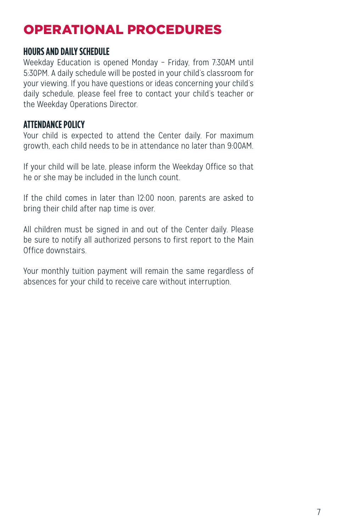## OPERATIONAL PROCEDURES

#### **HOURS AND DAILY SCHEDULE**

Weekday Education is opened Monday – Friday, from 7:30AM until 5:30PM. A daily schedule will be posted in your child's classroom for your viewing. If you have questions or ideas concerning your child's daily schedule, please feel free to contact your child's teacher or the Weekday Operations Director.

#### **ATTENDANCE POLICY**

Your child is expected to attend the Center daily. For maximum growth, each child needs to be in attendance no later than 9:00AM.

If your child will be late, please inform the Weekday Office so that he or she may be included in the lunch count.

If the child comes in later than 12:00 noon, parents are asked to bring their child after nap time is over.

All children must be signed in and out of the Center daily. Please be sure to notify all authorized persons to first report to the Main Office downstairs.

Your monthly tuition payment will remain the same regardless of absences for your child to receive care without interruption.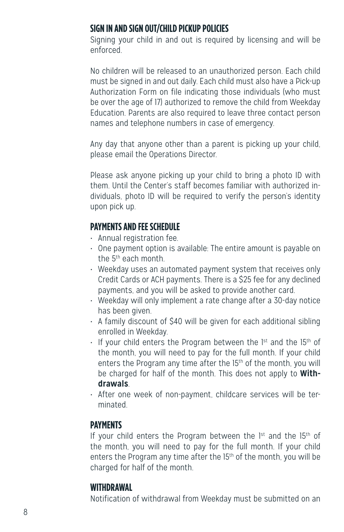#### **SIGN IN AND SIGN OUT/CHILD PICKUP POLICIES**

Signing your child in and out is required by licensing and will be enforced.

No children will be released to an unauthorized person. Each child must be signed in and out daily. Each child must also have a Pick-up Authorization Form on file indicating those individuals (who must be over the age of 17) authorized to remove the child from Weekday Education. Parents are also required to leave three contact person names and telephone numbers in case of emergency.

Any day that anyone other than a parent is picking up your child, please email the Operations Director.

Please ask anyone picking up your child to bring a photo ID with them. Until the Center's staff becomes familiar with authorized individuals, photo ID will be required to verify the person's identity upon pick up.

#### **PAYMENTS AND FEE SCHEDULE**

- Annual registration fee.
- One payment option is available: The entire amount is payable on the 5th each month.
- Weekday uses an automated payment system that receives only Credit Cards or ACH payments. There is a \$25 fee for any declined payments, and you will be asked to provide another card.
- Weekday will only implement a rate change after a 30-day notice has been given.
- A family discount of \$40 will be given for each additional sibling enrolled in Weekday.
- $\cdot$  If your child enters the Program between the 1st and the 15<sup>th</sup> of the month, you will need to pay for the full month. If your child enters the Program any time after the 15<sup>th</sup> of the month, you will be charged for half of the month. This does not apply to **Withdrawals**.
- After one week of non-payment, childcare services will be terminated.

#### **PAYMENTS**

If your child enters the Program between the  $1<sup>st</sup>$  and the  $15<sup>th</sup>$  of the month, you will need to pay for the full month. If your child enters the Program any time after the 15th of the month, you will be charged for half of the month.

#### **WITHDRAWAL**

Notification of withdrawal from Weekday must be submitted on an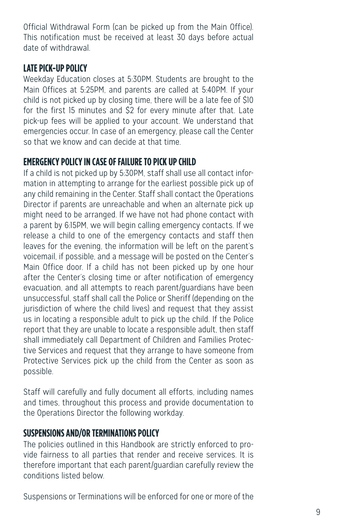Official Withdrawal Form (can be picked up from the Main Office). This notification must be received at least 30 days before actual date of withdrawal.

#### **LATE PICK-UP POLICY**

Weekday Education closes at 5:30PM. Students are brought to the Main Offices at 5:25PM, and parents are called at 5:40PM. If your child is not picked up by closing time, there will be a late fee of \$10 for the first 15 minutes and \$2 for every minute after that. Late pick-up fees will be applied to your account. We understand that emergencies occur. In case of an emergency, please call the Center so that we know and can decide at that time.

#### **EMERGENCY POLICY IN CASE OF FAILURE TO PICK UP CHILD**

If a child is not picked up by 5:30PM, staff shall use all contact information in attempting to arrange for the earliest possible pick up of any child remaining in the Center. Staff shall contact the Operations Director if parents are unreachable and when an alternate pick up might need to be arranged. If we have not had phone contact with a parent by 6:15PM, we will begin calling emergency contacts. If we release a child to one of the emergency contacts and staff then leaves for the evening, the information will be left on the parent's voicemail, if possible, and a message will be posted on the Center's Main Office door. If a child has not been picked up by one hour after the Center's closing time or after notification of emergency evacuation, and all attempts to reach parent/guardians have been unsuccessful, staff shall call the Police or Sheriff (depending on the jurisdiction of where the child lives) and request that they assist us in locating a responsible adult to pick up the child. If the Police report that they are unable to locate a responsible adult, then staff shall immediately call Department of Children and Families Protective Services and request that they arrange to have someone from Protective Services pick up the child from the Center as soon as possible.

Staff will carefully and fully document all efforts, including names and times, throughout this process and provide documentation to the Operations Director the following workday.

#### **SUSPENSIONS AND/OR TERMINATIONS POLICY**

The policies outlined in this Handbook are strictly enforced to provide fairness to all parties that render and receive services. It is therefore important that each parent/guardian carefully review the conditions listed below.

Suspensions or Terminations will be enforced for one or more of the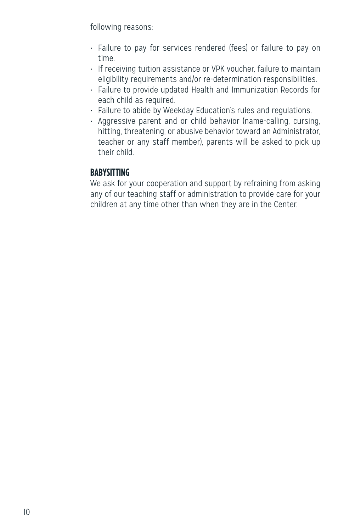following reasons:

- Failure to pay for services rendered (fees) or failure to pay on time.
- If receiving tuition assistance or VPK voucher, failure to maintain eligibility requirements and/or re-determination responsibilities.
- Failure to provide updated Health and Immunization Records for each child as required.
- Failure to abide by Weekday Education's rules and regulations.
- Aggressive parent and or child behavior (name-calling, cursing, hitting, threatening, or abusive behavior toward an Administrator, teacher or any staff member), parents will be asked to pick up their child.

#### **BABYSITTING**

We ask for your cooperation and support by refraining from asking any of our teaching staff or administration to provide care for your children at any time other than when they are in the Center.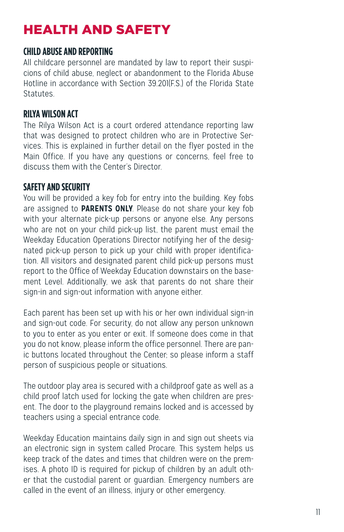## HEALTH AND SAFETY

#### **CHILD ABUSE AND REPORTING**

All childcare personnel are mandated by law to report their suspicions of child abuse, neglect or abandonment to the Florida Abuse Hotline in accordance with Section 39.201(F.S.) of the Florida State **Statutes** 

#### **RILYA WILSON ACT**

The Rilya Wilson Act is a court ordered attendance reporting law that was designed to protect children who are in Protective Services. This is explained in further detail on the flyer posted in the Main Office. If you have any questions or concerns, feel free to discuss them with the Center's Director.

#### **SAFETY AND SECURITY**

You will be provided a key fob for entry into the building. Key fobs are assigned to **PARENTS ONLY**. Please do not share your key fob with your alternate pick-up persons or anyone else. Any persons who are not on your child pick-up list, the parent must email the Weekday Education Operations Director notifying her of the designated pick-up person to pick up your child with proper identification. All visitors and designated parent child pick-up persons must report to the Office of Weekday Education downstairs on the basement Level. Additionally, we ask that parents do not share their sign-in and sign-out information with anyone either.

Each parent has been set up with his or her own individual sign-in and sign-out code. For security, do not allow any person unknown to you to enter as you enter or exit. If someone does come in that you do not know, please inform the office personnel. There are panic buttons located throughout the Center; so please inform a staff person of suspicious people or situations.

The outdoor play area is secured with a childproof gate as well as a child proof latch used for locking the gate when children are present. The door to the playground remains locked and is accessed by teachers using a special entrance code.

Weekday Education maintains daily sign in and sign out sheets via an electronic sign in system called Procare. This system helps us keep track of the dates and times that children were on the premises. A photo ID is required for pickup of children by an adult other that the custodial parent or guardian. Emergency numbers are called in the event of an illness, injury or other emergency.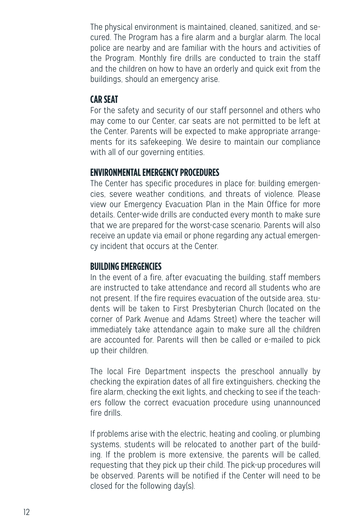The physical environment is maintained, cleaned, sanitized, and secured. The Program has a fire alarm and a burglar alarm. The local police are nearby and are familiar with the hours and activities of the Program. Monthly fire drills are conducted to train the staff and the children on how to have an orderly and quick exit from the buildings, should an emergency arise.

#### **CAR SEAT**

For the safety and security of our staff personnel and others who may come to our Center, car seats are not permitted to be left at the Center. Parents will be expected to make appropriate arrangements for its safekeeping. We desire to maintain our compliance with all of our governing entities.

#### **ENVIRONMENTAL EMERGENCY PROCEDURES**

The Center has specific procedures in place for: building emergencies, severe weather conditions, and threats of violence. Please view our Emergency Evacuation Plan in the Main Office for more details. Center-wide drills are conducted every month to make sure that we are prepared for the worst-case scenario. Parents will also receive an update via email or phone regarding any actual emergency incident that occurs at the Center.

#### **BUILDING EMERGENCIES**

In the event of a fire, after evacuating the building, staff members are instructed to take attendance and record all students who are not present. If the fire requires evacuation of the outside area, students will be taken to First Presbyterian Church (located on the corner of Park Avenue and Adams Street) where the teacher will immediately take attendance again to make sure all the children are accounted for. Parents will then be called or e-mailed to pick up their children.

The local Fire Department inspects the preschool annually by checking the expiration dates of all fire extinguishers, checking the fire alarm, checking the exit lights, and checking to see if the teachers follow the correct evacuation procedure using unannounced fire drills.

If problems arise with the electric, heating and cooling, or plumbing systems, students will be relocated to another part of the building. If the problem is more extensive, the parents will be called, requesting that they pick up their child. The pick-up procedures will be observed. Parents will be notified if the Center will need to be closed for the following day(s).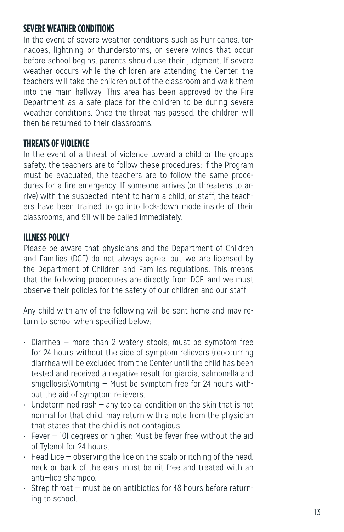#### **SEVERE WEATHER CONDITIONS**

In the event of severe weather conditions such as hurricanes, tornadoes, lightning or thunderstorms, or severe winds that occur before school begins, parents should use their judgment. If severe weather occurs while the children are attending the Center, the teachers will take the children out of the classroom and walk them into the main hallway. This area has been approved by the Fire Department as a safe place for the children to be during severe weather conditions. Once the threat has passed, the children will then be returned to their classrooms.

#### **THREATS OF VIOLENCE**

In the event of a threat of violence toward a child or the group's safety, the teachers are to follow these procedures: If the Program must be evacuated, the teachers are to follow the same procedures for a fire emergency. If someone arrives (or threatens to arrive) with the suspected intent to harm a child, or staff, the teachers have been trained to go into lock-down mode inside of their classrooms, and 911 will be called immediately.

#### **ILLNESS POLICY**

Please be aware that physicians and the Department of Children and Families (DCF) do not always agree, but we are licensed by the Department of Children and Families regulations. This means that the following procedures are directly from DCF, and we must observe their policies for the safety of our children and our staff.

Any child with any of the following will be sent home and may return to school when specified below:

- Diarrhea more than 2 watery stools; must be symptom free for 24 hours without the aide of symptom relievers (reoccurring diarrhea will be excluded from the Center until the child has been tested and received a negative result for giardia, salmonella and shigellosis).Vomiting — Must be symptom free for 24 hours without the aid of symptom relievers.
- $\cdot$  Undetermined rash  $-$  any topical condition on the skin that is not normal for that child; may return with a note from the physician that states that the child is not contagious.
- Fever 101 degrees or higher; Must be fever free without the aid of Tylenol for 24 hours.
- Head Lice observing the lice on the scalp or itching of the head, neck or back of the ears; must be nit free and treated with an anti—lice shampoo.
- Strep throat must be on antibiotics for 48 hours before returning to school.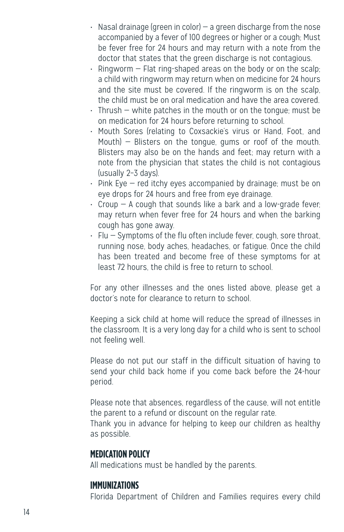- $\cdot$  Nasal drainage (green in color) a green discharge from the nose accompanied by a fever of 100 degrees or higher or a cough; Must be fever free for 24 hours and may return with a note from the doctor that states that the green discharge is not contagious.
- $\cdot$  Ringworm  $-$  Flat ring-shaped areas on the body or on the scalp; a child with ringworm may return when on medicine for 24 hours and the site must be covered. If the ringworm is on the scalp, the child must be on oral medication and have the area covered.
- Thrush white patches in the mouth or on the tongue; must be on medication for 24 hours before returning to school.
- Mouth Sores (relating to Coxsackie's virus or Hand, Foot, and Mouth) — Blisters on the tongue, gums or roof of the mouth. Blisters may also be on the hands and feet; may return with a note from the physician that states the child is not contagious (usually 2–3 days).
- Pink Eye red itchy eyes accompanied by drainage; must be on eye drops for 24 hours and free from eye drainage.
- Croup A cough that sounds like a bark and a low-grade fever; may return when fever free for 24 hours and when the barking cough has gone away.
- Flu Symptoms of the flu often include fever, cough, sore throat, running nose, body aches, headaches, or fatigue. Once the child has been treated and become free of these symptoms for at least 72 hours, the child is free to return to school.

For any other illnesses and the ones listed above, please get a doctor's note for clearance to return to school.

Keeping a sick child at home will reduce the spread of illnesses in the classroom. It is a very long day for a child who is sent to school not feeling well.

Please do not put our staff in the difficult situation of having to send your child back home if you come back before the 24-hour period.

Please note that absences, regardless of the cause, will not entitle the parent to a refund or discount on the regular rate.

Thank you in advance for helping to keep our children as healthy as possible.

#### **MEDICATION POLICY**

All medications must be handled by the parents.

#### **IMMUNIZATIONS**

Florida Department of Children and Families requires every child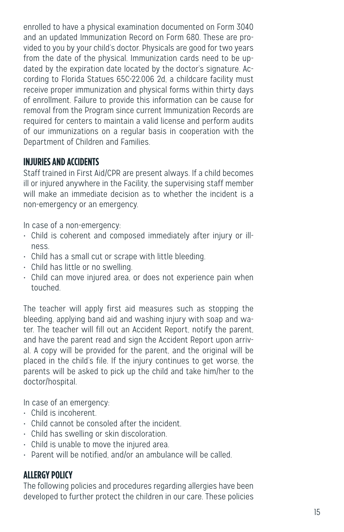enrolled to have a physical examination documented on Form 3040 and an updated Immunization Record on Form 680. These are provided to you by your child's doctor. Physicals are good for two years from the date of the physical. Immunization cards need to be updated by the expiration date located by the doctor's signature. According to Florida Statues 65C-22.006 2d, a childcare facility must receive proper immunization and physical forms within thirty days of enrollment. Failure to provide this information can be cause for removal from the Program since current Immunization Records are required for centers to maintain a valid license and perform audits of our immunizations on a regular basis in cooperation with the Department of Children and Families.

#### **INJURIES AND ACCIDENTS**

Staff trained in First Aid/CPR are present always. If a child becomes ill or injured anywhere in the Facility, the supervising staff member will make an immediate decision as to whether the incident is a non-emergency or an emergency.

In case of a non-emergency:

- Child is coherent and composed immediately after injury or illness.
- Child has a small cut or scrape with little bleeding.
- Child has little or no swelling.
- Child can move injured area, or does not experience pain when touched.

The teacher will apply first aid measures such as stopping the bleeding, applying band aid and washing injury with soap and water. The teacher will fill out an Accident Report, notify the parent, and have the parent read and sign the Accident Report upon arrival. A copy will be provided for the parent, and the original will be placed in the child's file. If the injury continues to get worse, the parents will be asked to pick up the child and take him/her to the doctor/hospital.

In case of an emergency:

- Child is incoherent.
- Child cannot be consoled after the incident.
- Child has swelling or skin discoloration.
- Child is unable to move the injured area.
- Parent will be notified, and/or an ambulance will be called.

#### **ALLERGY POLICY**

The following policies and procedures regarding allergies have been developed to further protect the children in our care. These policies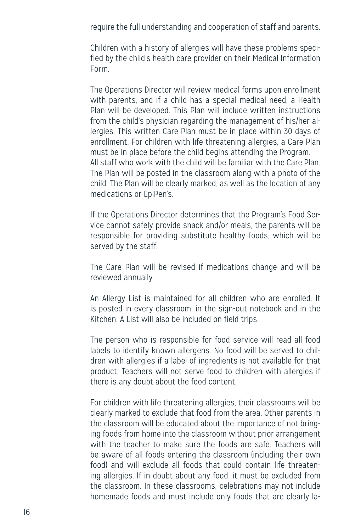require the full understanding and cooperation of staff and parents.

Children with a history of allergies will have these problems specified by the child's health care provider on their Medical Information Form.

The Operations Director will review medical forms upon enrollment with parents, and if a child has a special medical need, a Health Plan will be developed. This Plan will include written instructions from the child's physician regarding the management of his/her allergies. This written Care Plan must be in place within 30 days of enrollment. For children with life threatening allergies, a Care Plan must be in place before the child begins attending the Program. All staff who work with the child will be familiar with the Care Plan. The Plan will be posted in the classroom along with a photo of the child. The Plan will be clearly marked, as well as the location of any medications or EpiPen's.

If the Operations Director determines that the Program's Food Service cannot safely provide snack and/or meals, the parents will be responsible for providing substitute healthy foods, which will be served by the staff.

The Care Plan will be revised if medications change and will be reviewed annually.

An Allergy List is maintained for all children who are enrolled. It is posted in every classroom, in the sign-out notebook and in the Kitchen. A List will also be included on field trips.

The person who is responsible for food service will read all food labels to identify known allergens. No food will be served to children with allergies if a label of ingredients is not available for that product. Teachers will not serve food to children with allergies if there is any doubt about the food content.

For children with life threatening allergies, their classrooms will be clearly marked to exclude that food from the area. Other parents in the classroom will be educated about the importance of not bringing foods from home into the classroom without prior arrangement with the teacher to make sure the foods are safe. Teachers will be aware of all foods entering the classroom (including their own food) and will exclude all foods that could contain life threatening allergies. If in doubt about any food, it must be excluded from the classroom. In these classrooms, celebrations may not include homemade foods and must include only foods that are clearly la-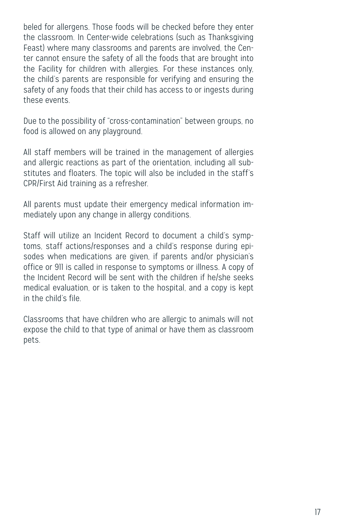beled for allergens. Those foods will be checked before they enter the classroom. In Center-wide celebrations (such as Thanksgiving Feast) where many classrooms and parents are involved, the Center cannot ensure the safety of all the foods that are brought into the Facility for children with allergies. For these instances only, the child's parents are responsible for verifying and ensuring the safety of any foods that their child has access to or ingests during these events.

Due to the possibility of "cross-contamination" between groups, no food is allowed on any playground.

All staff members will be trained in the management of allergies and allergic reactions as part of the orientation, including all substitutes and floaters. The topic will also be included in the staff's CPR/First Aid training as a refresher.

All parents must update their emergency medical information immediately upon any change in allergy conditions.

Staff will utilize an Incident Record to document a child's symptoms, staff actions/responses and a child's response during episodes when medications are given, if parents and/or physician's office or 911 is called in response to symptoms or illness. A copy of the Incident Record will be sent with the children if he/she seeks medical evaluation, or is taken to the hospital, and a copy is kept in the child's file.

Classrooms that have children who are allergic to animals will not expose the child to that type of animal or have them as classroom pets.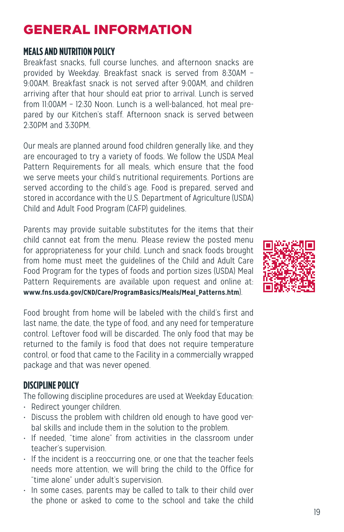## GENERAL INFORMATION

#### **MEALS AND NUTRITION POLICY**

Breakfast snacks, full course lunches, and afternoon snacks are provided by Weekday. Breakfast snack is served from 8:30AM – 9:00AM. Breakfast snack is not served after 9:00AM, and children arriving after that hour should eat prior to arrival. Lunch is served from 11:00AM – 12:30 Noon. Lunch is a well-balanced, hot meal prepared by our Kitchen's staff. Afternoon snack is served between 2:30PM and 3:30PM.

Our meals are planned around food children generally like, and they are encouraged to try a variety of foods. We follow the USDA Meal Pattern Requirements for all meals, which ensure that the food we serve meets your child's nutritional requirements. Portions are served according to the child's age. Food is prepared, served and stored in accordance with the U.S. Department of Agriculture (USDA) Child and Adult Food Program (CAFP) guidelines.

Parents may provide suitable substitutes for the items that their child cannot eat from the menu. Please review the posted menu for appropriateness for your child. Lunch and snack foods brought from home must meet the guidelines of the Child and Adult Care Food Program for the types of foods and portion sizes (USDA) Meal Pattern Requirements are available upon request and online at: **www.fns.usda.gov/CND/Care/ProgramBasics/Meals/Meal\_Patterns.htm**).

Food brought from home will be labeled with the child's first and last name, the date, the type of food, and any need for temperature control. Leftover food will be discarded. The only food that may be returned to the family is food that does not require temperature control, or food that came to the Facility in a commercially wrapped package and that was never opened.

#### **DISCIPLINE POLICY**

The following discipline procedures are used at Weekday Education:

- Redirect younger children.
- Discuss the problem with children old enough to have good verbal skills and include them in the solution to the problem.
- If needed, "time alone" from activities in the classroom under teacher's supervision.
- If the incident is a reoccurring one, or one that the teacher feels needs more attention, we will bring the child to the Office for "time alone" under adult's supervision.
- In some cases, parents may be called to talk to their child over the phone or asked to come to the school and take the child

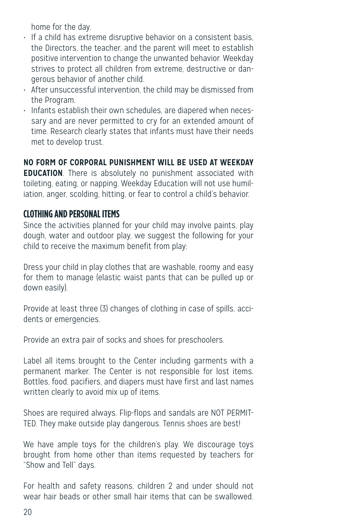home for the day.

- If a child has extreme disruptive behavior on a consistent basis, the Directors, the teacher, and the parent will meet to establish positive intervention to change the unwanted behavior. Weekday strives to protect all children from extreme, destructive or dangerous behavior of another child.
- After unsuccessful intervention, the child may be dismissed from the Program.
- Infants establish their own schedules, are diapered when necessary and are never permitted to cry for an extended amount of time. Research clearly states that infants must have their needs met to develop trust.

**NO FORM OF CORPORAL PUNISHMENT WILL BE USED AT WEEKDAY** 

**EDUCATION**. There is absolutely no punishment associated with toileting, eating, or napping. Weekday Education will not use humiliation, anger, scolding, hitting, or fear to control a child's behavior.

#### **CLOTHING AND PERSONAL ITEMS**

Since the activities planned for your child may involve paints, play dough, water and outdoor play, we suggest the following for your child to receive the maximum benefit from play:

Dress your child in play clothes that are washable, roomy and easy for them to manage (elastic waist pants that can be pulled up or down easily).

Provide at least three (3) changes of clothing in case of spills, accidents or emergencies.

Provide an extra pair of socks and shoes for preschoolers.

Label all items brought to the Center including garments with a permanent marker. The Center is not responsible for lost items. Bottles, food, pacifiers, and diapers must have first and last names written clearly to avoid mix up of items.

Shoes are required always. Flip-flops and sandals are NOT PERMIT-TED. They make outside play dangerous. Tennis shoes are best!

We have ample toys for the children's play. We discourage toys brought from home other than items requested by teachers for "Show and Tell" days.

For health and safety reasons, children 2 and under should not wear hair beads or other small hair items that can be swallowed.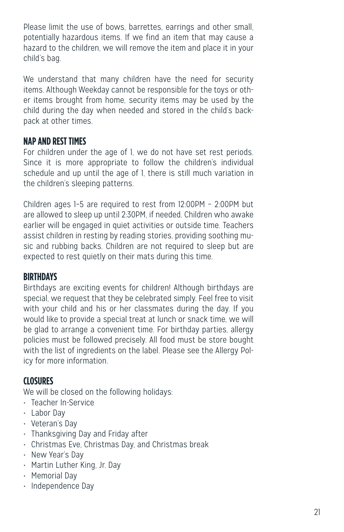Please limit the use of bows, barrettes, earrings and other small, potentially hazardous items. If we find an item that may cause a hazard to the children, we will remove the item and place it in your child's bag.

We understand that many children have the need for security items. Although Weekday cannot be responsible for the toys or other items brought from home, security items may be used by the child during the day when needed and stored in the child's backpack at other times.

#### **NAP AND REST TIMES**

For children under the age of 1, we do not have set rest periods. Since it is more appropriate to follow the children's individual schedule and up until the age of 1, there is still much variation in the children's sleeping patterns.

Children ages 1–5 are required to rest from 12:00PM – 2:00PM but are allowed to sleep up until 2:30PM, if needed. Children who awake earlier will be engaged in quiet activities or outside time. Teachers assist children in resting by reading stories, providing soothing music and rubbing backs. Children are not required to sleep but are expected to rest quietly on their mats during this time.

#### **BIRTHDAYS**

Birthdays are exciting events for children! Although birthdays are special, we request that they be celebrated simply. Feel free to visit with your child and his or her classmates during the day. If you would like to provide a special treat at lunch or snack time, we will be glad to arrange a convenient time. For birthday parties, allergy policies must be followed precisely. All food must be store bought with the list of ingredients on the label. Please see the Allergy Policy for more information.

#### **CLOSURES**

We will be closed on the following holidays:

- Teacher In-Service
- Labor Day
- Veteran's Day
- Thanksgiving Day and Friday after
- Christmas Eve, Christmas Day, and Christmas break
- New Year's Day
- Martin Luther King, Jr. Day
- Memorial Day
- Independence Day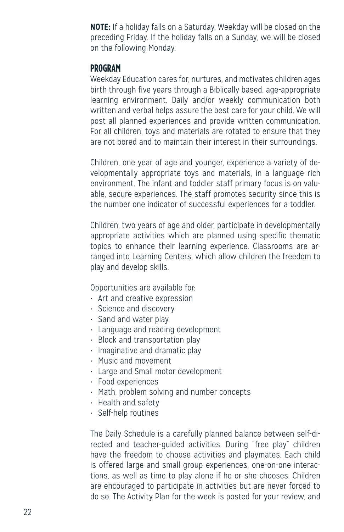**NOTE:** If a holiday falls on a Saturday, Weekday will be closed on the preceding Friday. If the holiday falls on a Sunday, we will be closed on the following Monday.

#### **PROGRAM**

Weekday Education cares for, nurtures, and motivates children ages birth through five years through a Biblically based, age-appropriate learning environment. Daily and/or weekly communication both written and verbal helps assure the best care for your child. We will post all planned experiences and provide written communication. For all children, toys and materials are rotated to ensure that they are not bored and to maintain their interest in their surroundings.

Children, one year of age and younger, experience a variety of developmentally appropriate toys and materials, in a language rich environment. The infant and toddler staff primary focus is on valuable, secure experiences. The staff promotes security since this is the number one indicator of successful experiences for a toddler.

Children, two years of age and older, participate in developmentally appropriate activities which are planned using specific thematic topics to enhance their learning experience. Classrooms are arranged into Learning Centers, which allow children the freedom to play and develop skills.

Opportunities are available for:

- Art and creative expression
- Science and discovery
- Sand and water play
- Language and reading development
- Block and transportation play
- Imaginative and dramatic play
- Music and movement
- Large and Small motor development
- Food experiences
- Math, problem solving and number concepts
- Health and safety
- Self-help routines

The Daily Schedule is a carefully planned balance between self-directed and teacher-guided activities. During "free play" children have the freedom to choose activities and playmates. Each child is offered large and small group experiences, one-on-one interactions, as well as time to play alone if he or she chooses. Children are encouraged to participate in activities but are never forced to do so. The Activity Plan for the week is posted for your review, and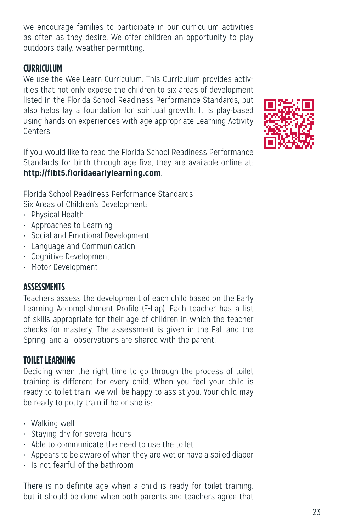we encourage families to participate in our curriculum activities as often as they desire. We offer children an opportunity to play outdoors daily, weather permitting.

#### **CURRICULUM**

We use the Wee Learn Curriculum. This Curriculum provides activities that not only expose the children to six areas of development listed in the Florida School Readiness Performance Standards, but also helps lay a foundation for spiritual growth. It is play-based using hands-on experiences with age appropriate Learning Activity **Centers** 

If you would like to read the Florida School Readiness Performance Standards for birth through age five, they are available online at: **http://flbt5.floridaearlylearning.com**.

Florida School Readiness Performance Standards Six Areas of Children's Development:

- Physical Health
- Approaches to Learning
- Social and Emotional Development
- Language and Communication
- Cognitive Development
- Motor Development

#### **ASSESSMENTS**

Teachers assess the development of each child based on the Early Learning Accomplishment Profile (E-Lap). Each teacher has a list of skills appropriate for their age of children in which the teacher checks for mastery. The assessment is given in the Fall and the Spring, and all observations are shared with the parent.

#### **TOILET LEARNING**

Deciding when the right time to go through the process of toilet training is different for every child. When you feel your child is ready to toilet train, we will be happy to assist you. Your child may be ready to potty train if he or she is:

- Walking well
- Staying dry for several hours
- Able to communicate the need to use the toilet
- Appears to be aware of when they are wet or have a soiled diaper
- Is not fearful of the bathroom

There is no definite age when a child is ready for toilet training, but it should be done when both parents and teachers agree that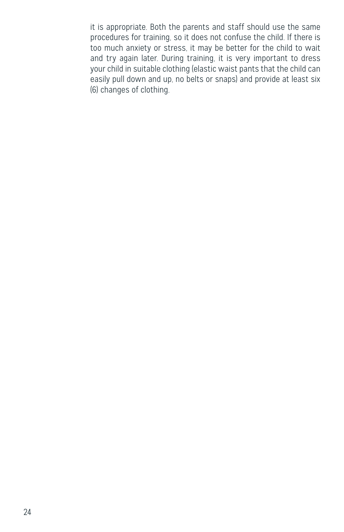it is appropriate. Both the parents and staff should use the same procedures for training, so it does not confuse the child. If there is too much anxiety or stress, it may be better for the child to wait and try again later. During training, it is very important to dress your child in suitable clothing (elastic waist pants that the child can easily pull down and up, no belts or snaps) and provide at least six (6) changes of clothing.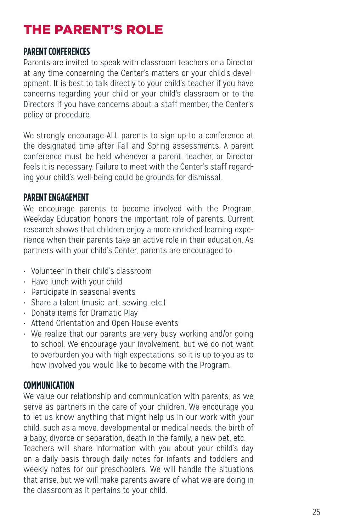## THE PARENT'S ROLE

#### **PARENT CONFERENCES**

Parents are invited to speak with classroom teachers or a Director at any time concerning the Center's matters or your child's development. It is best to talk directly to your child's teacher if you have concerns regarding your child or your child's classroom or to the Directors if you have concerns about a staff member, the Center's policy or procedure.

We strongly encourage ALL parents to sign up to a conference at the designated time after Fall and Spring assessments. A parent conference must be held whenever a parent, teacher, or Director feels it is necessary. Failure to meet with the Center's staff regarding your child's well-being could be grounds for dismissal.

#### **PARENT ENGAGEMENT**

We encourage parents to become involved with the Program. Weekday Education honors the important role of parents. Current research shows that children enjoy a more enriched learning experience when their parents take an active role in their education. As partners with your child's Center, parents are encouraged to:

- Volunteer in their child's classroom
- Have lunch with your child
- Participate in seasonal events
- Share a talent (music, art, sewing, etc.)
- Donate items for Dramatic Play
- Attend Orientation and Open House events
- We realize that our parents are very busy working and/or going to school. We encourage your involvement, but we do not want to overburden you with high expectations, so it is up to you as to how involved you would like to become with the Program.

#### **COMMUNICATION**

We value our relationship and communication with parents, as we serve as partners in the care of your children. We encourage you to let us know anything that might help us in our work with your child, such as a move, developmental or medical needs, the birth of a baby, divorce or separation, death in the family, a new pet, etc.

Teachers will share information with you about your child's day on a daily basis through daily notes for infants and toddlers and weekly notes for our preschoolers. We will handle the situations that arise, but we will make parents aware of what we are doing in the classroom as it pertains to your child.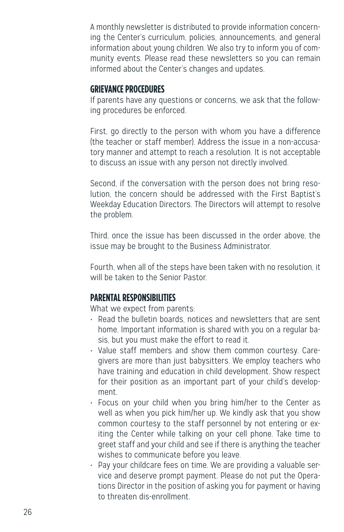A monthly newsletter is distributed to provide information concerning the Center's curriculum, policies, announcements, and general information about young children. We also try to inform you of community events. Please read these newsletters so you can remain informed about the Center's changes and updates.

#### **GRIEVANCE PROCEDURES**

If parents have any questions or concerns, we ask that the following procedures be enforced.

First, go directly to the person with whom you have a difference (the teacher or staff member). Address the issue in a non-accusatory manner and attempt to reach a resolution. It is not acceptable to discuss an issue with any person not directly involved.

Second, if the conversation with the person does not bring resolution, the concern should be addressed with the First Baptist's Weekday Education Directors. The Directors will attempt to resolve the problem.

Third, once the issue has been discussed in the order above, the issue may be brought to the Business Administrator.

Fourth, when all of the steps have been taken with no resolution, it will be taken to the Senior Pastor.

#### **PARENTAL RESPONSIBILITIES**

What we expect from parents:

- Read the bulletin boards, notices and newsletters that are sent home. Important information is shared with you on a regular basis, but you must make the effort to read it.
- Value staff members and show them common courtesy. Caregivers are more than just babysitters. We employ teachers who have training and education in child development. Show respect for their position as an important part of your child's development.
- Focus on your child when you bring him/her to the Center as well as when you pick him/her up. We kindly ask that you show common courtesy to the staff personnel by not entering or exiting the Center while talking on your cell phone. Take time to greet staff and your child and see if there is anything the teacher wishes to communicate before you leave.
- Pay your childcare fees on time. We are providing a valuable service and deserve prompt payment. Please do not put the Operations Director in the position of asking you for payment or having to threaten dis-enrollment.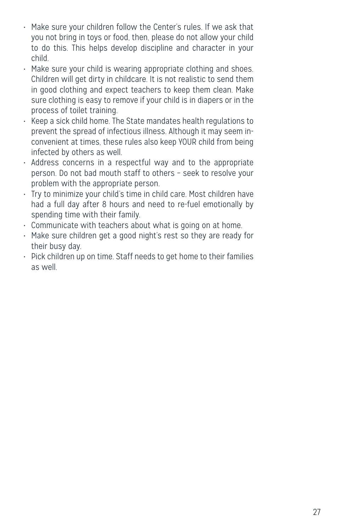- Make sure your children follow the Center's rules. If we ask that you not bring in toys or food, then, please do not allow your child to do this. This helps develop discipline and character in your child.
- Make sure your child is wearing appropriate clothing and shoes. Children will get dirty in childcare. It is not realistic to send them in good clothing and expect teachers to keep them clean. Make sure clothing is easy to remove if your child is in diapers or in the process of toilet training.
- Keep a sick child home. The State mandates health regulations to prevent the spread of infectious illness. Although it may seem inconvenient at times, these rules also keep YOUR child from being infected by others as well.
- Address concerns in a respectful way and to the appropriate person. Do not bad mouth staff to others – seek to resolve your problem with the appropriate person.
- Try to minimize your child's time in child care. Most children have had a full day after 8 hours and need to re-fuel emotionally by spending time with their family.
- Communicate with teachers about what is going on at home.
- Make sure children get a good night's rest so they are ready for their busy day.
- Pick children up on time. Staff needs to get home to their families as well.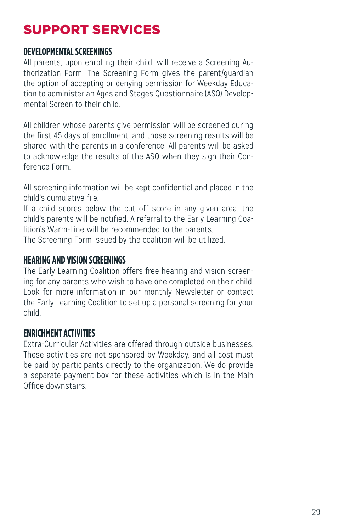## SUPPORT SERVICES

#### **DEVELOPMENTAL SCREENINGS**

All parents, upon enrolling their child, will receive a Screening Authorization Form. The Screening Form gives the parent/guardian the option of accepting or denying permission for Weekday Education to administer an Ages and Stages Questionnaire (ASQ) Developmental Screen to their child.

All children whose parents give permission will be screened during the first 45 days of enrollment, and those screening results will be shared with the parents in a conference. All parents will be asked to acknowledge the results of the ASQ when they sign their Conference Form.

All screening information will be kept confidential and placed in the child's cumulative file.

If a child scores below the cut off score in any given area, the child's parents will be notified. A referral to the Early Learning Coalition's Warm-Line will be recommended to the parents.

The Screening Form issued by the coalition will be utilized.

#### **HEARING AND VISION SCREENINGS**

The Early Learning Coalition offers free hearing and vision screening for any parents who wish to have one completed on their child. Look for more information in our monthly Newsletter or contact the Early Learning Coalition to set up a personal screening for your child.

#### **ENRICHMENT ACTIVITIES**

Extra-Curricular Activities are offered through outside businesses. These activities are not sponsored by Weekday, and all cost must be paid by participants directly to the organization. We do provide a separate payment box for these activities which is in the Main Office downstairs.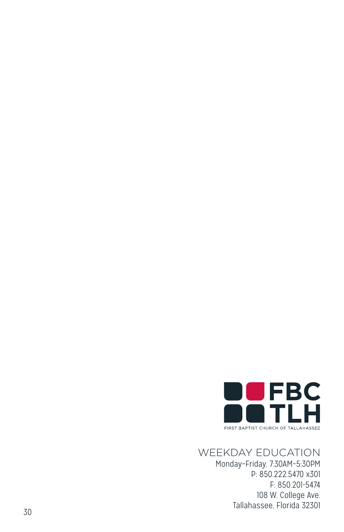

## WEEKDAY EDUCATION

Monday–Friday, 7:30AM–5:30PM P: 850.222.5470 x301 F: 850.201-5474 108 W. College Ave. Tallahassee, Florida 32301